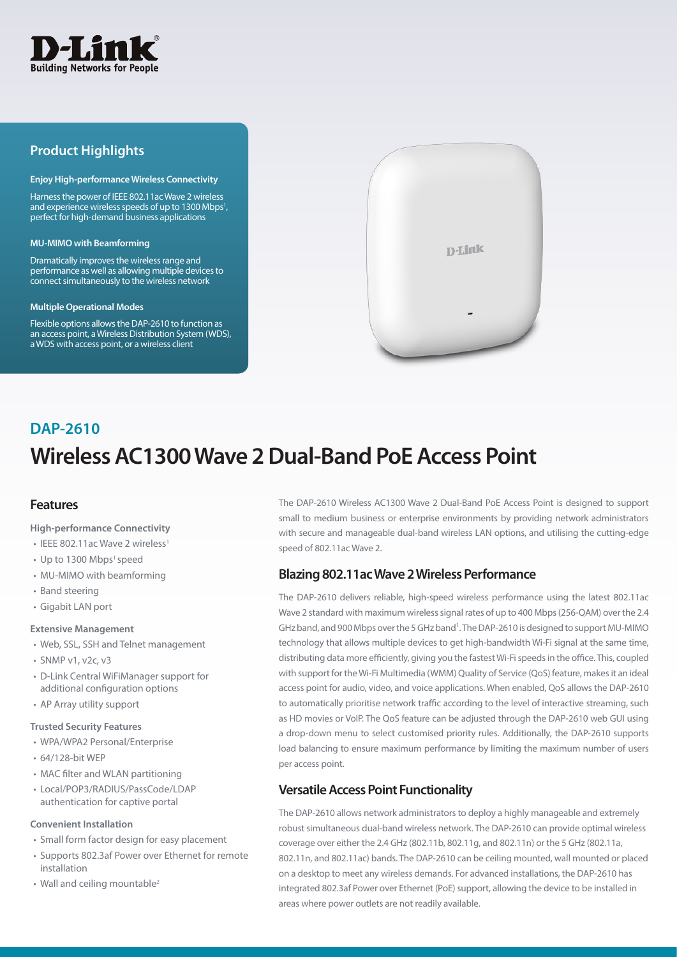

## **Product Highlights**

#### **Enjoy High-performance Wireless Connectivity**

Harness the power of IEEE 802.11ac Wave 2 wireless and experience wireless speeds of up to 1300 Mbps<sup>1</sup>, perfect for high-demand business applications

### **MU-MIMO with Beamforming**

Dramatically improves the wireless range and performance as well as allowing multiple devices to connect simultaneously to the wireless network

#### **Multiple Operational Modes**

Flexible options allows the DAP-2610 to function as an access point, a Wireless Distribution System (WDS), a WDS with access point, or a wireless client



# **Wireless AC1300 Wave 2 Dual-Band PoE Access Point DAP-2610**

### **Features**

### **High-performance Connectivity**

- IEEE 802.11ac Wave 2 wireless<sup>1</sup>
- Up to 1300 Mbps<sup>1</sup> speed
- MU-MIMO with beamforming
- Band steering
- Gigabit LAN port

#### **Extensive Management**

- Web, SSL, SSH and Telnet management
- SNMP v1, v2c, v3
- D-Link Central WiFiManager support for additional configuration options
- AP Array utility support

### **Trusted Security Features**

- WPA/WPA2 Personal/Enterprise
- 64/128-bit WEP
- MAC filter and WLAN partitioning
- Local/POP3/RADIUS/PassCode/LDAP authentication for captive portal

### **Convenient Installation**

- Small form factor design for easy placement
- Supports 802.3af Power over Ethernet for remote installation
- Wall and ceiling mountable<sup>2</sup>

The DAP-2610 Wireless AC1300 Wave 2 Dual-Band PoE Access Point is designed to support small to medium business or enterprise environments by providing network administrators with secure and manageable dual-band wireless LAN options, and utilising the cutting-edge speed of 802.11ac Wave 2.

### **Blazing 802.11ac Wave 2 Wireless Performance**

The DAP-2610 delivers reliable, high-speed wireless performance using the latest 802.11ac Wave 2 standard with maximum wireless signal rates of up to 400 Mbps (256-QAM) over the 2.4 GHz band, and 900 Mbps over the 5 GHz band1 . The DAP-2610 is designed to support MU-MIMO technology that allows multiple devices to get high-bandwidth Wi-Fi signal at the same time, distributing data more efficiently, giving you the fastest Wi-Fi speeds in the office. This, coupled with support for the Wi-Fi Multimedia (WMM) Quality of Service (QoS) feature, makes it an ideal access point for audio, video, and voice applications. When enabled, QoS allows the DAP-2610 to automatically prioritise network traffic according to the level of interactive streaming, such as HD movies or VoIP. The QoS feature can be adjusted through the DAP-2610 web GUI using a drop-down menu to select customised priority rules. Additionally, the DAP-2610 supports load balancing to ensure maximum performance by limiting the maximum number of users per access point.

## **Versatile Access Point Functionality**

The DAP-2610 allows network administrators to deploy a highly manageable and extremely robust simultaneous dual-band wireless network. The DAP-2610 can provide optimal wireless coverage over either the 2.4 GHz (802.11b, 802.11g, and 802.11n) or the 5 GHz (802.11a, 802.11n, and 802.11ac) bands. The DAP-2610 can be ceiling mounted, wall mounted or placed on a desktop to meet any wireless demands. For advanced installations, the DAP-2610 has integrated 802.3af Power over Ethernet (PoE) support, allowing the device to be installed in areas where power outlets are not readily available.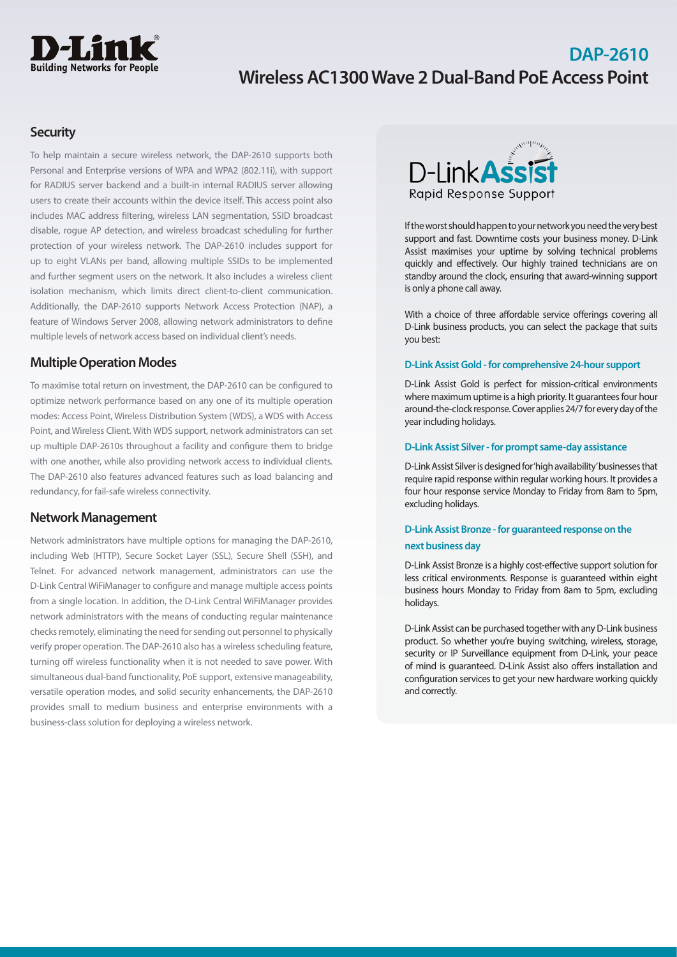

## **DAP-2610 Wireless AC1300 Wave 2 Dual-Band PoE Access Point**

## **Security**

To help maintain a secure wireless network, the DAP-2610 supports both Personal and Enterprise versions of WPA and WPA2 (802.11i), with support for RADIUS server backend and a built-in internal RADIUS server allowing users to create their accounts within the device itself. This access point also includes MAC address filtering, wireless LAN segmentation, SSID broadcast disable, rogue AP detection, and wireless broadcast scheduling for further protection of your wireless network. The DAP-2610 includes support for up to eight VLANs per band, allowing multiple SSIDs to be implemented and further segment users on the network. It also includes a wireless client isolation mechanism, which limits direct client-to-client communication. Additionally, the DAP-2610 supports Network Access Protection (NAP), a feature of Windows Server 2008, allowing network administrators to define multiple levels of network access based on individual client's needs.

## **Multiple Operation Modes**

To maximise total return on investment, the DAP-2610 can be configured to optimize network performance based on any one of its multiple operation modes: Access Point, Wireless Distribution System (WDS), a WDS with Access Point, and Wireless Client. With WDS support, network administrators can set up multiple DAP-2610s throughout a facility and configure them to bridge with one another, while also providing network access to individual clients. The DAP-2610 also features advanced features such as load balancing and redundancy, for fail-safe wireless connectivity.

### **Network Management**

Network administrators have multiple options for managing the DAP-2610, including Web (HTTP), Secure Socket Layer (SSL), Secure Shell (SSH), and Telnet. For advanced network management, administrators can use the D-Link Central WiFiManager to configure and manage multiple access points from a single location. In addition, the D-Link Central WiFiManager provides network administrators with the means of conducting regular maintenance checks remotely, eliminating the need for sending out personnel to physically verify proper operation. The DAP-2610 also has a wireless scheduling feature, turning off wireless functionality when it is not needed to save power. With simultaneous dual-band functionality, PoE support, extensive manageability, versatile operation modes, and solid security enhancements, the DAP-2610 provides small to medium business and enterprise environments with a business-class solution for deploying a wireless network.



If the worst should happen to your network you need the very best support and fast. Downtime costs your business money. D-Link Assist maximises your uptime by solving technical problems quickly and effectively. Our highly trained technicians are on standby around the clock, ensuring that award-winning support is only a phone call away.

With a choice of three affordable service offerings covering all D-Link business products, you can select the package that suits you best:

### **D-Link Assist Gold - for comprehensive 24-hour support**

D-Link Assist Gold is perfect for mission-critical environments where maximum uptime is a high priority. It guarantees four hour around-the-clock response. Cover applies 24/7 for every day of the year including holidays.

### **D-Link Assist Silver - for prompt same-day assistance**

D-Link Assist Silver is designed for 'high availability' businesses that require rapid response within regular working hours. It provides a four hour response service Monday to Friday from 8am to 5pm, excluding holidays.

## **D-Link Assist Bronze - for guaranteed response on the next business day**

D-Link Assist Bronze is a highly cost-effective support solution for less critical environments. Response is guaranteed within eight business hours Monday to Friday from 8am to 5pm, excluding holidays.

D-Link Assist can be purchased together with any D-Link business product. So whether you're buying switching, wireless, storage, security or IP Surveillance equipment from D-Link, your peace of mind is guaranteed. D-Link Assist also offers installation and configuration services to get your new hardware working quickly and correctly.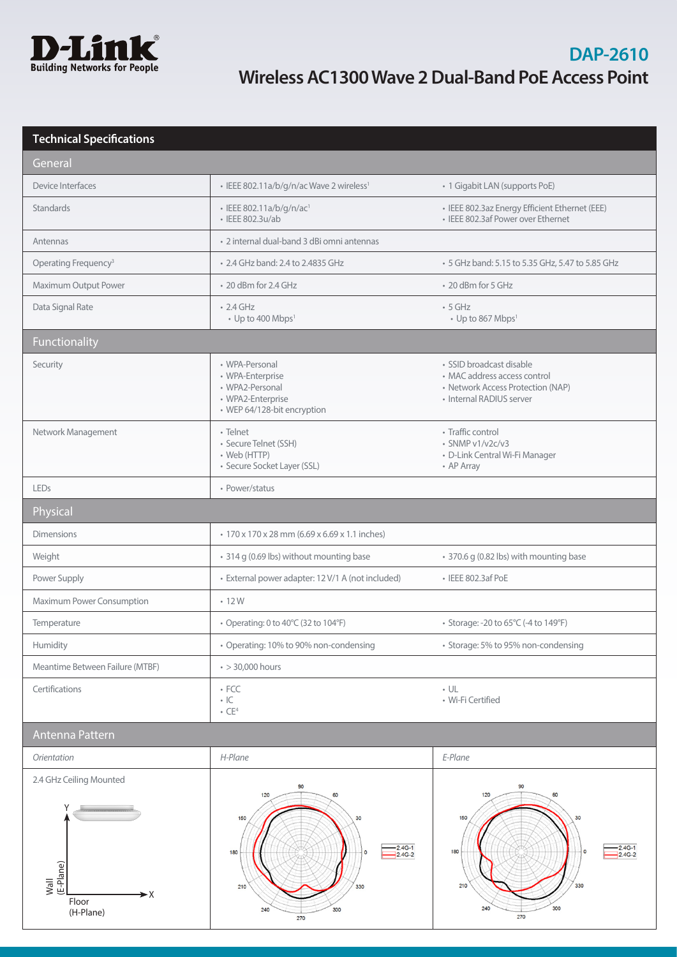

## **DAP-2610 Wireless AC1300 Wave 2 Dual-Band PoE Access Point**

## **Technical Specifications**

| General                                                                  |                                                                                                           |                                                                                                                           |
|--------------------------------------------------------------------------|-----------------------------------------------------------------------------------------------------------|---------------------------------------------------------------------------------------------------------------------------|
| Device Interfaces                                                        | · IEEE 802.11a/b/g/n/ac Wave 2 wireless <sup>1</sup>                                                      | • 1 Gigabit LAN (supports PoE)                                                                                            |
| <b>Standards</b>                                                         | · IEEE 802.11a/b/g/n/ac1<br>· IEEE 802.3u/ab                                                              | · IEEE 802.3az Energy Efficient Ethernet (EEE)<br>• IEEE 802.3af Power over Ethernet                                      |
| Antennas                                                                 | · 2 internal dual-band 3 dBi omni antennas                                                                |                                                                                                                           |
| Operating Frequency <sup>3</sup>                                         | • 2.4 GHz band: 2.4 to 2.4835 GHz                                                                         | • 5 GHz band: 5.15 to 5.35 GHz, 5.47 to 5.85 GHz                                                                          |
| Maximum Output Power                                                     | • 20 dBm for 2.4 GHz                                                                                      | • 20 dBm for 5 GHz                                                                                                        |
| Data Signal Rate                                                         | $\cdot$ 2.4 GHz<br>• Up to 400 Mbps <sup>1</sup>                                                          | $\cdot$ 5 GHz<br>• Up to 867 Mbps <sup>1</sup>                                                                            |
| Functionality                                                            |                                                                                                           |                                                                                                                           |
| Security                                                                 | • WPA-Personal<br>• WPA-Enterprise<br>• WPA2-Personal<br>· WPA2-Enterprise<br>• WEP 64/128-bit encryption | · SSID broadcast disable<br>• MAC address access control<br>• Network Access Protection (NAP)<br>· Internal RADIUS server |
| Network Management                                                       | • Telnet<br>· Secure Telnet (SSH)<br>• Web (HTTP)<br>· Secure Socket Layer (SSL)                          | • Traffic control<br>$\cdot$ SNMP v1/v2c/v3<br>· D-Link Central Wi-Fi Manager<br>• AP Array                               |
| LEDs                                                                     | • Power/status                                                                                            |                                                                                                                           |
| Physical                                                                 |                                                                                                           |                                                                                                                           |
| <b>Dimensions</b>                                                        | • 170 x 170 x 28 mm (6.69 x 6.69 x 1.1 inches)                                                            |                                                                                                                           |
| Weight                                                                   | • 314 g (0.69 lbs) without mounting base                                                                  | • 370.6 g (0.82 lbs) with mounting base                                                                                   |
| Power Supply                                                             | · External power adapter: 12 V/1 A (not included)                                                         | • IEEE 802.3af PoE                                                                                                        |
| Maximum Power Consumption                                                | $-12W$                                                                                                    |                                                                                                                           |
| Temperature                                                              | • Operating: 0 to 40°C (32 to 104°F)                                                                      | • Storage: -20 to 65°C (-4 to 149°F)                                                                                      |
| Humidity                                                                 | • Operating: 10% to 90% non-condensing                                                                    | · Storage: 5% to 95% non-condensing                                                                                       |
| Meantime Between Failure (MTBF)                                          | $\cdot$ > 30,000 hours                                                                                    |                                                                                                                           |
| Certifications                                                           | $\cdot$ FCC<br>$\cdot$ IC<br>$\cdot$ CE <sup>4</sup>                                                      | $\bullet$ UL<br>· Wi-Fi Certified                                                                                         |
| Antenna Pattern                                                          |                                                                                                           |                                                                                                                           |
| Orientation                                                              | H-Plane                                                                                                   | E-Plane                                                                                                                   |
| 2.4 GHz Ceiling Mounted<br>(E-Plane)<br>Wall<br>≻x<br>Floor<br>(H-Plane) | 90<br>120<br>60<br>150<br>$-2.4G-1$<br>$-2.4G-2$<br>180<br>210<br>330<br>300<br>240<br>270                | 90<br>120<br>60<br>150<br>$-2.4G-1$<br>180<br>$-2.4G-2$<br>330<br>210<br>300<br>240<br>270                                |